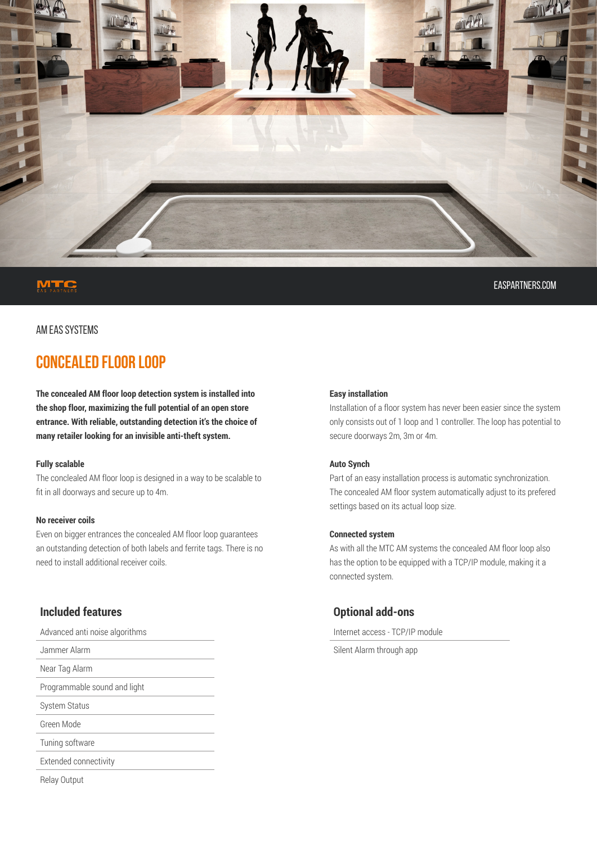

easpartners.com

### AM EAS SYSTEMS

# **CONCEALED FLOOR LOOP**

**The concealed AM floor loop detection system is installed into the shop floor, maximizing the full potential of an open store entrance. With reliable, outstanding detection it's the choice of many retailer looking for an invisible anti-theft system.**

#### **Fully scalable**

The conclealed AM floor loop is designed in a way to be scalable to fit in all doorways and secure up to 4m.

#### **No receiver coils**

Even on bigger entrances the concealed AM floor loop guarantees an outstanding detection of both labels and ferrite tags. There is no need to install additional receiver coils.

# **Included features**

Advanced anti noise algorithms Jammer Alarm Near Tag Alarm Programmable sound and light System Status Green Mode Tuning software Extended connectivity

#### **Easy installation**

Installation of a floor system has never been easier since the system only consists out of 1 loop and 1 controller. The loop has potential to secure doorways 2m, 3m or 4m.

#### **Auto Synch**

Part of an easy installation process is automatic synchronization. The concealed AM floor system automatically adjust to its prefered settings based on its actual loop size.

#### **Connected system**

As with all the MTC AM systems the concealed AM floor loop also has the option to be equipped with a TCP/IP module, making it a connected system.

## **Optional add-ons**

Internet access - TCP/IP module

Silent Alarm through app

Relay Output